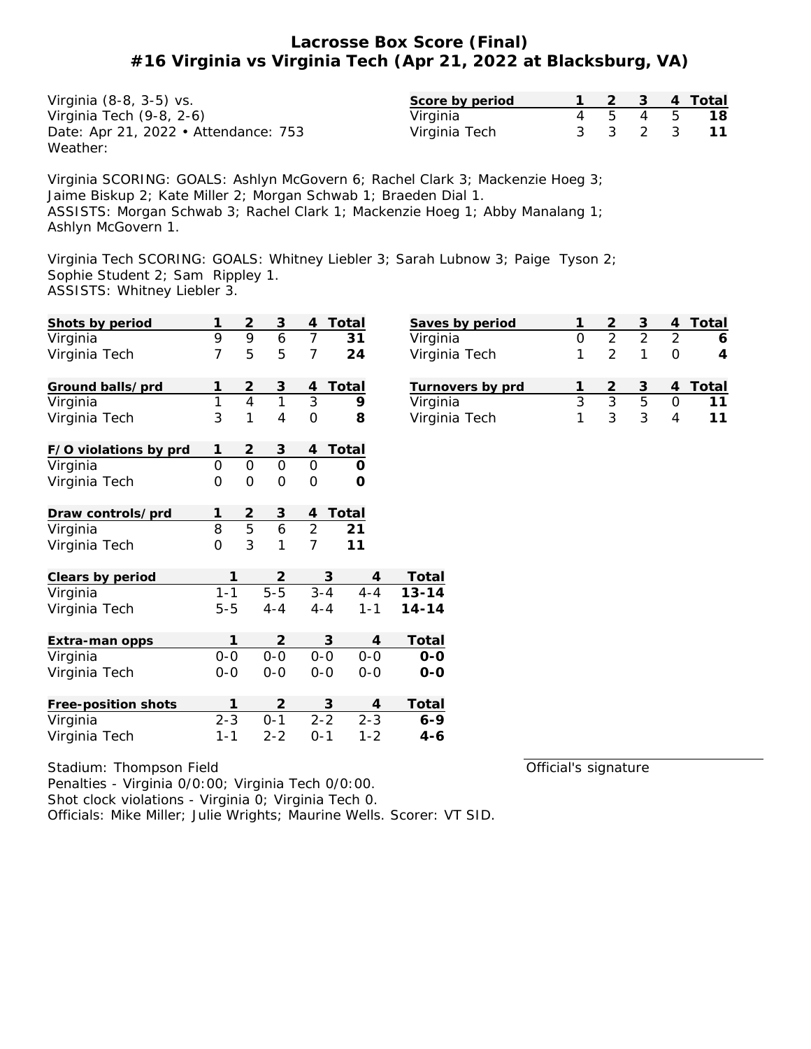## **Lacrosse Box Score (Final) #16 Virginia vs Virginia Tech (Apr 21, 2022 at Blacksburg, VA)**

| Virginia (8-8, 3-5) vs.              | Score by period |  |  | 2 3 4 Total |
|--------------------------------------|-----------------|--|--|-------------|
| Virginia Tech (9-8, 2-6)             | Virginia        |  |  | 4 5 4 5 18  |
| Date: Apr 21, 2022 • Attendance: 753 | Virginia Tech   |  |  | 3 3 2 3 11  |
| Weather:                             |                 |  |  |             |

Virginia SCORING: GOALS: Ashlyn McGovern 6; Rachel Clark 3; Mackenzie Hoeg 3; Jaime Biskup 2; Kate Miller 2; Morgan Schwab 1; Braeden Dial 1. ASSISTS: Morgan Schwab 3; Rachel Clark 1; Mackenzie Hoeg 1; Abby Manalang 1; Ashlyn McGovern 1.

Virginia Tech SCORING: GOALS: Whitney Liebler 3; Sarah Lubnow 3; Paige Tyson 2; Sophie Student 2; Sam Rippley 1. ASSISTS: Whitney Liebler 3.

| Shots by period       | 1              | $\overline{2}$ | 3                         | 4              | Total          | Saves by period  | 1              | $\overline{2}$ | $\ensuremath{\mathsf{3}}$ | 4              | Total          |
|-----------------------|----------------|----------------|---------------------------|----------------|----------------|------------------|----------------|----------------|---------------------------|----------------|----------------|
| Virginia              | 9              | $\overline{9}$ | $\boldsymbol{6}$          | $\overline{7}$ | 31             | Virginia         | $\mathbf 0$    | $\overline{2}$ | $\overline{2}$            | $\overline{2}$ | 6              |
| Virginia Tech         | 7              | 5              | 5                         | 7              | 24             | Virginia Tech    | 1              | $\overline{2}$ | 1                         | $\overline{O}$ | $\overline{4}$ |
| Ground balls/prd      |                | $\overline{2}$ | 3                         | 4              | Total          | Turnovers by prd | 1              | $\overline{c}$ | 3                         | 4              | Total          |
| Virginia              | 1              | $\overline{4}$ | $\mathbf{1}$              | 3              | 9              | Virginia         | $\overline{3}$ | $\overline{3}$ | $\overline{5}$            | $\mathbf{O}$   | 11             |
| Virginia Tech         | 3              | 1              | $\overline{4}$            | $\overline{O}$ | 8              | Virginia Tech    | 1              | 3              | 3                         | $\overline{4}$ | 11             |
| F/O violations by prd | 1              | $\overline{2}$ | 3                         | 4              | Total          |                  |                |                |                           |                |                |
| Virginia              | $\mathbf 0$    | $\overline{0}$ | $\overline{O}$            | $\mathbf{O}$   | $\circ$        |                  |                |                |                           |                |                |
| Virginia Tech         | $\Omega$       | $\overline{0}$ | $\overline{O}$            | $\Omega$       | $\overline{O}$ |                  |                |                |                           |                |                |
| Draw controls/prd     |                | $\overline{2}$ | $\ensuremath{\mathsf{3}}$ | 4              | Total          |                  |                |                |                           |                |                |
| Virginia              | 8              | $\overline{5}$ | 6                         | $\overline{2}$ | 21             |                  |                |                |                           |                |                |
| Virginia Tech         | $\overline{O}$ | 3              | $\mathbf{1}$              | $\overline{7}$ | 11             |                  |                |                |                           |                |                |
| Clears by period      | 1              |                | 2                         |                | 3              | Total<br>4       |                |                |                           |                |                |
| Virginia              | $1 - 1$        |                | $\overline{5-5}$          | $3 - 4$        | $4 - 4$        | $13 - 14$        |                |                |                           |                |                |
| Virginia Tech         | $5 - 5$        |                | $4 - 4$                   | $4 - 4$        | $1 - 1$        | $14 - 14$        |                |                |                           |                |                |
| Extra-man opps        | 1              |                | $\overline{2}$            |                | 3              | Total<br>4       |                |                |                           |                |                |
| Virginia              | $0-0$          |                | $0-0$                     | $0-0$          | $0-0$          | $O-O$            |                |                |                           |                |                |
| Virginia Tech         | $0-0$          |                | $0-0$                     | $0-0$          | $0-0$          | $O-O$            |                |                |                           |                |                |
| Free-position shots   | $\mathbf{1}$   |                | $\overline{2}$            |                | 3              | Total<br>4       |                |                |                           |                |                |
| Virginia              | $2 - 3$        |                | $0 - 1$                   | $2 - 2$        | $2 - 3$        | $6 - 9$          |                |                |                           |                |                |
| Virginia Tech         | $1 - 1$        |                | $2 - 2$                   | $0 - 1$        | $1 - 2$        | $4 - 6$          |                |                |                           |                |                |

| Virginia         |               |   |       |
|------------------|---------------|---|-------|
| Virginia Tech    | $\mathcal{P}$ |   |       |
| Turnovers by prd |               | 3 | Total |
| Virginia         |               | h |       |
| Virginia Tech    | ς             |   |       |
|                  |               |   |       |

Stadium: Thompson Field

Penalties - Virginia 0/0:00; Virginia Tech 0/0:00. Shot clock violations - Virginia 0; Virginia Tech 0. Officials: Mike Miller; Julie Wrights; Maurine Wells. Scorer: VT SID. Official's signature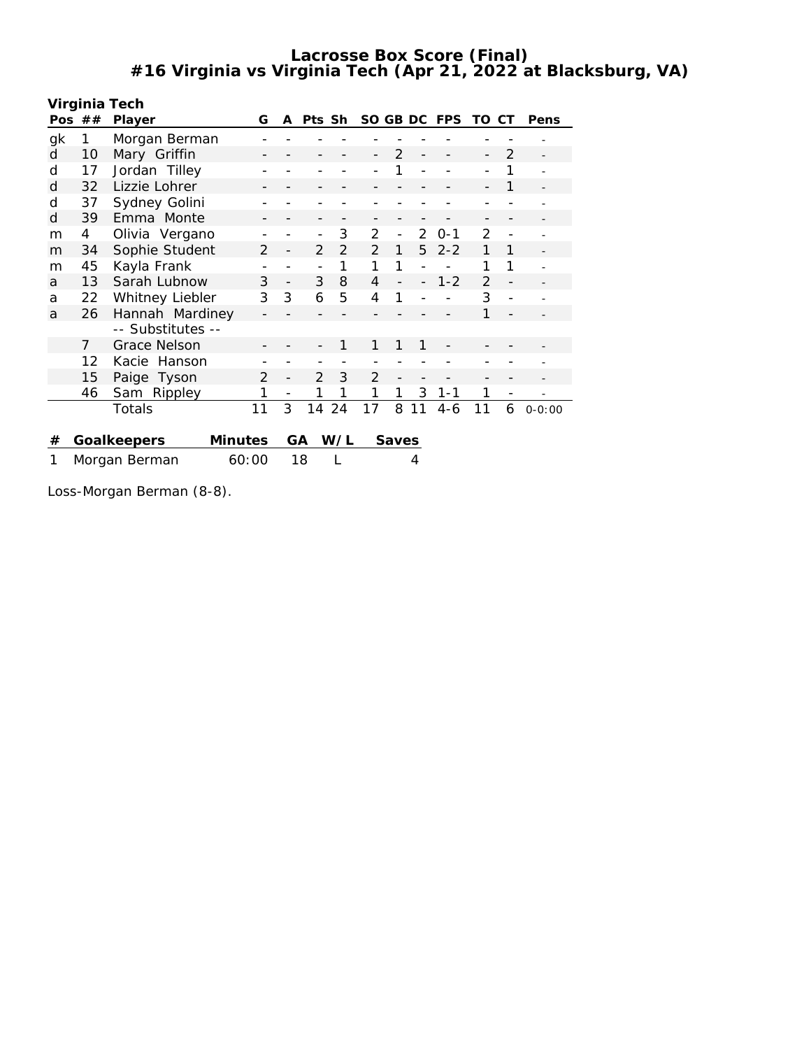**Lacrosse Box Score (Final) #16 Virginia vs Virginia Tech (Apr 21, 2022 at Blacksburg, VA)**

|     |                | Virginia Tech       |                |                          |                |               |                |               |    |            |                |                |            |
|-----|----------------|---------------------|----------------|--------------------------|----------------|---------------|----------------|---------------|----|------------|----------------|----------------|------------|
| Pos | ##             | Player              | G              | A                        | Pts Sh         |               | SO GB DC       |               |    | <b>FPS</b> | TO             | СT             | Pens       |
| gk  | 1              | Morgan Berman       |                |                          |                |               |                |               |    |            |                |                |            |
| d   | 10             | Mary Griffin        |                |                          |                |               |                | $\mathcal{P}$ |    |            |                | $\mathcal{P}$  |            |
| d   | 17             | Jordan Tilley       |                |                          |                |               |                |               |    |            |                |                |            |
| d   | 32             | Lizzie Lohrer       |                |                          |                |               |                |               |    |            |                | 1              |            |
| d   | 37             | Sydney Golini       |                |                          |                |               |                |               |    |            |                |                |            |
| d   | 39             | Emma Monte          |                |                          |                |               |                |               |    |            |                |                |            |
| m   | 4              | Olivia Vergano      |                |                          |                | 3             | 2              |               | 2  | $0 - 1$    | 2              |                |            |
| m   | 34             | Sophie Student      | $\mathcal{P}$  |                          | $\mathcal{P}$  | $\mathcal{P}$ | $\mathcal{P}$  | 1             | 5  | $2 - 2$    | 1              | 1              |            |
| m   | 45             | Kayla Frank         |                |                          | $\overline{a}$ | 1             | 1              | 1             |    |            | 1              | 1              |            |
| a   | 13             | Sarah Lubnow        | 3              | $\overline{\phantom{0}}$ | 3              | 8             | $\overline{4}$ |               |    | $1 - 2$    | $\overline{2}$ |                |            |
| a   | 22             | Whitney Liebler     | 3              | 3                        | 6              | 5             | 4              | 1             |    |            | 3              | $\overline{a}$ |            |
| a   | 26             | Hannah Mardiney     |                |                          |                |               |                |               |    |            | 1              |                |            |
|     |                | -- Substitutes --   |                |                          |                |               |                |               |    |            |                |                |            |
|     | $\overline{7}$ | <b>Grace Nelson</b> |                |                          |                | 1             | 1              | 1             |    |            |                |                |            |
|     | 12             | Kacie Hanson        |                |                          |                |               |                |               |    |            |                |                |            |
|     | 15             | Paige Tyson         | 2              |                          | 2              | 3             | $\overline{2}$ |               |    |            |                |                |            |
|     | 46             | Sam Rippley         | 1              | $\overline{\phantom{a}}$ | 1              | 1             | 1              | 1             | 3  | $1 - 1$    | 1              |                |            |
|     |                | Totals              | 11             | 3                        | 14             | 24            | 17             | 8             | 11 | $4 - 6$    | 11             | 6              | $0 - 0:00$ |
| #   |                | Goalkeepers         | <b>Minutes</b> |                          | GA             | W/L           |                | Saves         |    |            |                |                |            |
|     | Morgan Berman  |                     | 60:00          |                          | 18             |               |                |               | 4  |            |                |                |            |
|     |                |                     |                |                          |                |               |                |               |    |            |                |                |            |

Loss-Morgan Berman (8-8).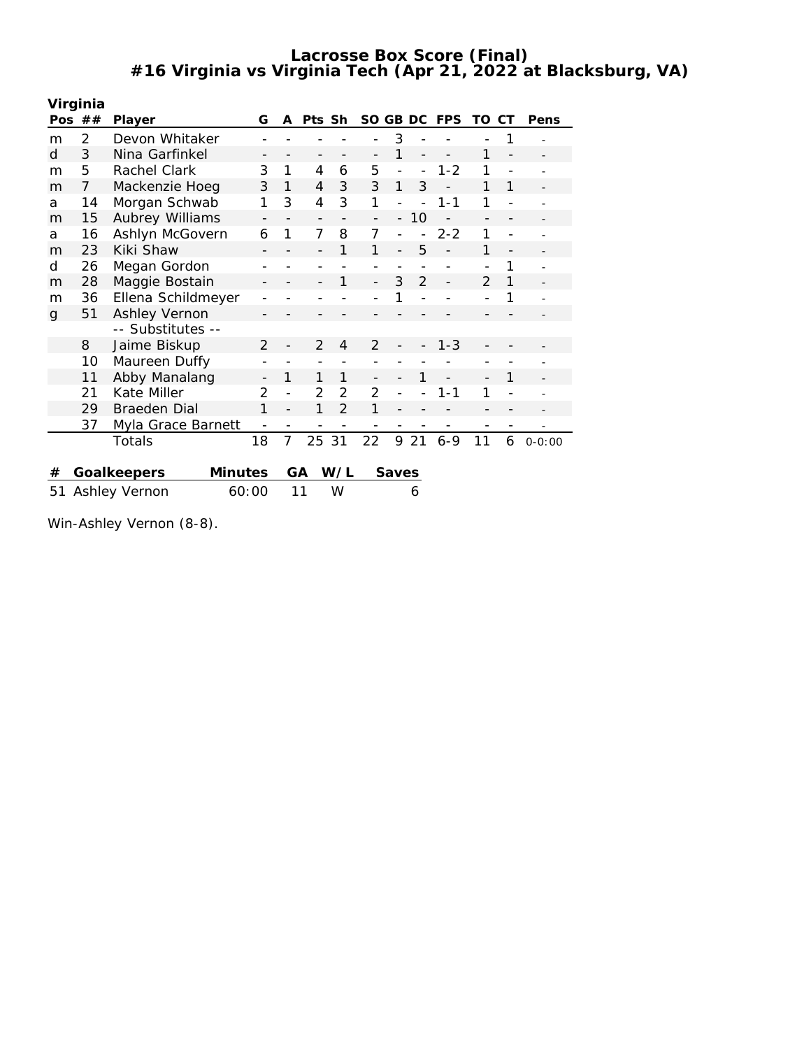**Lacrosse Box Score (Final) #16 Virginia vs Virginia Tech (Apr 21, 2022 at Blacksburg, VA)**

|                              | Virginia       |                               |                |   |                |                |                          |                          |               |            |                |                |            |
|------------------------------|----------------|-------------------------------|----------------|---|----------------|----------------|--------------------------|--------------------------|---------------|------------|----------------|----------------|------------|
|                              | Pos $##$       | Player                        | G              | A | Pts Sh         |                |                          | SO GB DC                 |               | <b>FPS</b> | TO             | СT             | Pens       |
| m                            | 2              | Devon Whitaker                |                |   |                |                |                          | 3                        |               |            |                |                |            |
| d                            | 3              | Nina Garfinkel                |                | - |                |                | $\overline{\phantom{0}}$ | 1                        |               |            | 1              |                |            |
| m                            | 5              | Rachel Clark                  | 3              | 1 | $\overline{4}$ | 6              | 5                        | $\overline{\phantom{0}}$ |               | $1 - 2$    | 1              | $\overline{a}$ |            |
| m                            | $\overline{7}$ | Mackenzie Hoeg                | 3              | 1 | $\overline{4}$ | 3              | 3                        | 1                        | 3             |            | 1              | 1              |            |
| a                            | 14             | Morgan Schwab                 | 1              | 3 | 4              | 3              | 1                        |                          |               | $1 - 1$    | 1              |                |            |
| m                            | 15             | Aubrey Williams               |                |   | -              |                |                          | $\overline{\phantom{0}}$ | 10            |            |                |                |            |
| a                            | 16             | Ashlyn McGovern               | 6              | 1 | $\overline{7}$ | 8              | 7                        |                          |               | $2 - 2$    | 1              |                |            |
| m                            | 23             | Kiki Shaw                     |                |   |                | 1              | 1                        |                          | 5             |            | 1              |                |            |
| d                            | 26             | Megan Gordon                  |                |   |                |                |                          |                          |               |            |                | 1              |            |
| m                            | 28             | Maggie Bostain                |                |   |                | 1              |                          | 3                        | $\mathcal{P}$ |            | $\overline{2}$ | 1              |            |
| m                            | 36             | Ellena Schildmeyer            |                |   |                |                |                          | 1                        |               |            |                | 1              |            |
| $\mathbf{g}$                 | 51             | Ashley Vernon                 |                |   |                |                |                          |                          |               |            |                |                |            |
|                              |                | -- Substitutes --             |                |   |                |                |                          |                          |               |            |                |                |            |
|                              | 8              | Jaime Biskup                  | $\overline{2}$ |   | $\overline{2}$ | $\overline{4}$ | $\overline{2}$           |                          |               | $1 - 3$    |                |                |            |
|                              | 10             | Maureen Duffy                 |                |   |                |                |                          |                          |               |            |                |                |            |
|                              | 11             | Abby Manalang                 |                | 1 | 1              | 1              |                          |                          |               |            |                | 1              |            |
|                              | 21             | Kate Miller                   | 2              |   | $\overline{2}$ | 2              | $\overline{2}$           |                          |               | 1-1        | 1              |                |            |
|                              | 29             | <b>Braeden Dial</b>           | 1              |   | 1              | $\mathfrak{D}$ | 1                        |                          |               |            |                |                |            |
|                              | 37             | Myla Grace Barnett            |                |   |                |                | -                        |                          |               |            |                |                |            |
|                              |                | Totals                        | 18             | 7 | 25             | 31             | 22                       | 9                        | 21            | $6 - 9$    | 11             | 6              | $0 - 0:00$ |
|                              |                |                               |                |   |                |                |                          |                          |               |            |                |                |            |
| #                            |                | <b>Minutes</b><br>Goalkeepers |                |   | GA             | W/L            |                          | Saves                    |               |            |                |                |            |
| Ashley Vernon<br>60:00<br>51 |                |                               |                |   | 11             | W              |                          |                          | 6             |            |                |                |            |
|                              |                |                               |                |   |                |                |                          |                          |               |            |                |                |            |

Win-Ashley Vernon (8-8).